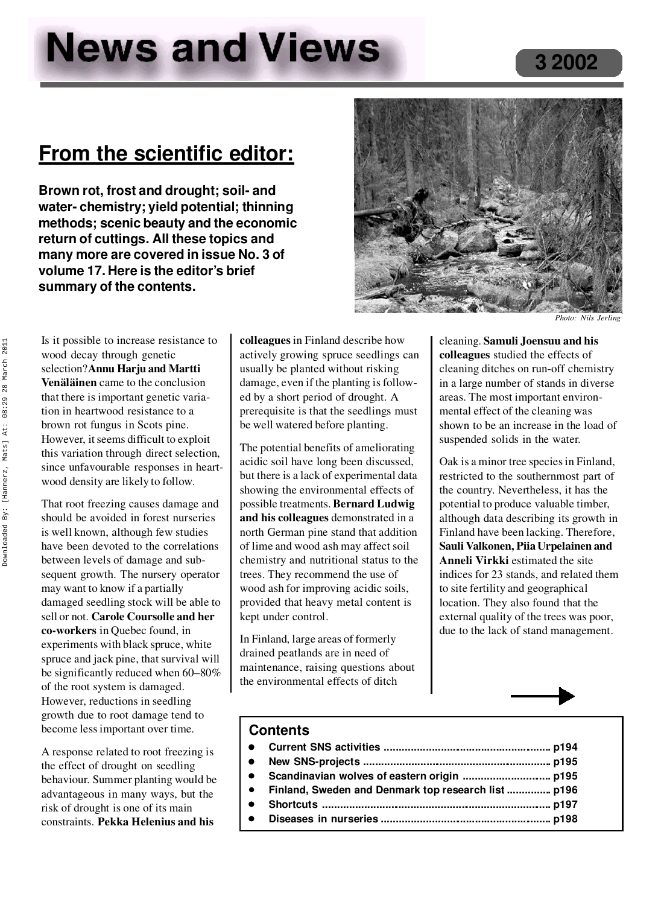# **News and Views**

## **From the scientific editor:**

**Brown rot, frost and drought; soil- and water- chemistry; yield potential; thinning methods; scenic beauty and the economic return of cuttings. All these topics and many more are covered in issue No. 3 of volume 17. Here is the editor's brief summary of the contents.**



*Photo: Nils Jerling*

Is it possible to increase resistance to wood decay through genetic selection? **Annu Harju and Martti Venäläinen** came to the conclusion that there is important genetic variation in heartwood resistance to a brown rot fungus in Scots pine. However, it seems difficult to exploit this variation through direct selection, since unfavourable responses in heart wood density are likely to follow.

That root freezing causes damage and should be avoided in forest nurseries is well known, although few studies have been devoted to the correlations between levels of damage and subsequent growth. The nursery operator may want to know if a partially damaged seedling stock will be able to sell or not. **Carole Coursolle and her co-workers** in Quebec found, in experiments with black spruce, white spruce and jack pine, that survival will be significantly reduced when 60–80% of the root system is damaged. However, reductions in seedling growth due to root damage tend to become less important over time.

A response related to root freezing is the effect of drought on seedling behaviour. Summer planting would be advantageous in many ways, but the risk of drought is one of its main constraints. **Pekka Helenius and his**

**colleagues** in Finland describe how actively growing spruce seedlings can usually be planted without risking damage, even if the planting is follow ed by a short period of drought. A prerequisite is that the seedlings must be well watered before planting.

The potential benefits of ameliorating acidic soil have long been discussed, but there is a lack of experimental data showing the environmental effects of possible treatments. **Bernard Ludwig and his colleagues** demonstrated in a north German pine stand that addition of lime and wood ash may affect soil chemistry and nutritional status to the trees. They recommend the use of wood ash for improving acidic soils, provided that heavy metal content is kept under control.

In Finland, large areas of formerly drained peatlands are in need of maintenance, raising questions about the environmental effects of ditch

cleaning. **Samuli Joensuu and his colleagues** studied the effects of cleaning ditches on run-off chemistry in a large number of stands in diverse areas. The most important environ mental effect of the cleaning was shown to be an increase in the load of suspended solids in the water.

Oak is a minor tree species in Finland, restricted to the southernmost part of the country. Nevertheless, it has the potential to produce valuable timber, although data describing its growth in Finland have been lacking. Therefore, **Sauli Valkonen, Piia Urpelainen and Anneli Virkki** estimated the site indices for 23 stands, and related them to site fertility and geographical location. They also found that the external quality of the trees was poor, due to the lack of stand management.

#### **Contents**

- <sup>l</sup> **Current SNS activities ......................................................... p194**
- <sup>l</sup> **New SNS-projects ................................................................ p195**
- <sup>l</sup> **Scandinavian wolves of eastern origin .............................. p195**
- <sup>l</sup> **Finland, Sweden and Denmark top research list ............... p196**
- <sup>l</sup> **Shortcuts .............................................................................. p197**
	- <sup>l</sup> **Diseases in nurseries ......................................................... p198**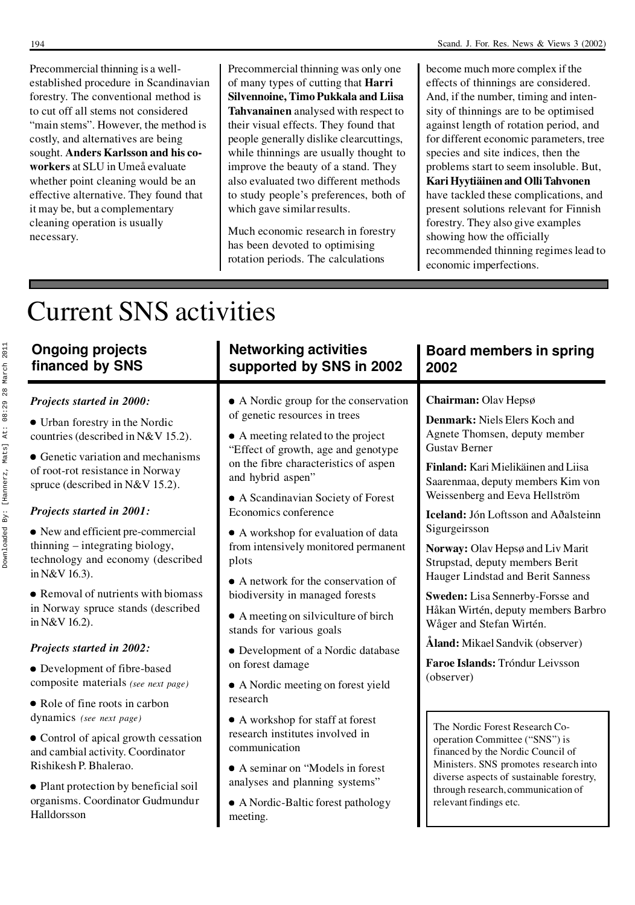Precommercial thinning is a well established procedure in Scandinavian forestry. The conventional method is to cut off all stems not considered "main stems". However, the method is costly, and alternatives are being sought. **Anders Karlsson and his co workers** at SLU in Umeå evaluate whether point cleaning would be an effective alternative. They found that it may be, but a complementary cleaning operation is usually necessary.

become much more complex if the effects of thinnings are considered. And, if the number, timing and intensity of thinnings are to be optimised against length of rotation period, and for different economic parameters, tree species and site indices, then the problems start to seem insoluble. But, **Kari Hyytiäinen and Olli Tahvonen** have tackled these complications, and present solutions relevant for Finnish forestry. They also give examples showing how the officially recommended thinning regimes lead to economic imperfections.

## Current SNS activities

| <b>Ongoing projects</b>                                                                                                                                                                                                                                                                                                                                                                                                                                                                                                                                                                                               | <b>Networking activities</b>                                                                                                                                                                                                                                                                                                                                                                                                                                                                                                                                                                                                              | Board members in spring                                                                                                                                                                                                                                                                                                                                                                                                                                                                                                                                                                       |
|-----------------------------------------------------------------------------------------------------------------------------------------------------------------------------------------------------------------------------------------------------------------------------------------------------------------------------------------------------------------------------------------------------------------------------------------------------------------------------------------------------------------------------------------------------------------------------------------------------------------------|-------------------------------------------------------------------------------------------------------------------------------------------------------------------------------------------------------------------------------------------------------------------------------------------------------------------------------------------------------------------------------------------------------------------------------------------------------------------------------------------------------------------------------------------------------------------------------------------------------------------------------------------|-----------------------------------------------------------------------------------------------------------------------------------------------------------------------------------------------------------------------------------------------------------------------------------------------------------------------------------------------------------------------------------------------------------------------------------------------------------------------------------------------------------------------------------------------------------------------------------------------|
| financed by SNS                                                                                                                                                                                                                                                                                                                                                                                                                                                                                                                                                                                                       | supported by SNS in 2002                                                                                                                                                                                                                                                                                                                                                                                                                                                                                                                                                                                                                  | 2002                                                                                                                                                                                                                                                                                                                                                                                                                                                                                                                                                                                          |
| Projects started in 2000:<br>• Urban forestry in the Nordic<br>countries (described in N&V 15.2).<br>• Genetic variation and mechanisms<br>of root-rot resistance in Norway<br>spruce (described in N&V 15.2).<br>Projects started in 2001:<br>• New and efficient pre-commercial<br>thinning - integrating biology,<br>technology and economy (described<br>in N&V 16.3).<br>• Removal of nutrients with biomass<br>in Norway spruce stands (described<br>in N&V 16.2).<br><b>Projects started in 2002:</b><br>• Development of fibre-based<br>composite materials (see next page)<br>• Role of fine roots in carbon | • A Nordic group for the conservation<br>of genetic resources in trees<br>• A meeting related to the project<br>"Effect of growth, age and genotype<br>on the fibre characteristics of aspen<br>and hybrid aspen"<br>• A Scandinavian Society of Forest<br>Economics conference<br>• A workshop for evaluation of data<br>from intensively monitored permanent<br>plots<br>$\bullet$ A network for the conservation of<br>biodiversity in managed forests<br>• A meeting on silviculture of birch<br>stands for various goals<br>• Development of a Nordic database<br>on forest damage<br>• A Nordic meeting on forest yield<br>research | Chairman: Olav Hepsø<br>Denmark: Niels Elers Koch and<br>Agnete Thomsen, deputy member<br><b>Gustav Berner</b><br>Finland: Kari Mielikäinen and Liisa<br>Saarenmaa, deputy members Kim von<br>Weissenberg and Eeva Hellström<br>Iceland: Jón Loftsson and Aðalsteinn<br>Sigurgeirsson<br>Norway: Olav Hepsø and Liv Marit<br>Strupstad, deputy members Berit<br>Hauger Lindstad and Berit Sanness<br>Sweden: Lisa Sennerby-Forsse and<br>Håkan Wirtén, deputy members Barbro<br>Wåger and Stefan Wirtén.<br>Åland: Mikael Sandvik (observer)<br>Faroe Islands: Tróndur Leivsson<br>(observer) |
| dynamics (see next page)                                                                                                                                                                                                                                                                                                                                                                                                                                                                                                                                                                                              | • A workshop for staff at forest                                                                                                                                                                                                                                                                                                                                                                                                                                                                                                                                                                                                          | The Nordic Forest Research Co-                                                                                                                                                                                                                                                                                                                                                                                                                                                                                                                                                                |
| • Control of apical growth cessation                                                                                                                                                                                                                                                                                                                                                                                                                                                                                                                                                                                  | research institutes involved in                                                                                                                                                                                                                                                                                                                                                                                                                                                                                                                                                                                                           | operation Committee ("SNS") is                                                                                                                                                                                                                                                                                                                                                                                                                                                                                                                                                                |
| and cambial activity. Coordinator                                                                                                                                                                                                                                                                                                                                                                                                                                                                                                                                                                                     | communication                                                                                                                                                                                                                                                                                                                                                                                                                                                                                                                                                                                                                             | financed by the Nordic Council of                                                                                                                                                                                                                                                                                                                                                                                                                                                                                                                                                             |
| Rishikesh P. Bhalerao.                                                                                                                                                                                                                                                                                                                                                                                                                                                                                                                                                                                                | • A seminar on "Models in forest"                                                                                                                                                                                                                                                                                                                                                                                                                                                                                                                                                                                                         | Ministers. SNS promotes research into                                                                                                                                                                                                                                                                                                                                                                                                                                                                                                                                                         |
| • Plant protection by beneficial soil                                                                                                                                                                                                                                                                                                                                                                                                                                                                                                                                                                                 | analyses and planning systems"                                                                                                                                                                                                                                                                                                                                                                                                                                                                                                                                                                                                            | diverse aspects of sustainable forestry,                                                                                                                                                                                                                                                                                                                                                                                                                                                                                                                                                      |
| organisms. Coordinator Gudmundur                                                                                                                                                                                                                                                                                                                                                                                                                                                                                                                                                                                      | • A Nordic-Baltic forest pathology                                                                                                                                                                                                                                                                                                                                                                                                                                                                                                                                                                                                        | through research, communication of                                                                                                                                                                                                                                                                                                                                                                                                                                                                                                                                                            |
| Halldorsson                                                                                                                                                                                                                                                                                                                                                                                                                                                                                                                                                                                                           | meeting.                                                                                                                                                                                                                                                                                                                                                                                                                                                                                                                                                                                                                                  | relevant findings etc.                                                                                                                                                                                                                                                                                                                                                                                                                                                                                                                                                                        |

Precommercial thinning was only one of many types of cutting that **Harri Silvennoine, Timo Pukkala and Liisa Tahvanainen** analysed with respect to their visual effects. They found that people generally dislike clearcuttings, while thinnings are usually thought to improve the beauty of a stand. They also evaluated two different methods to study people's preferences, both of

which gave similar results.

Much economic research in forestry has been devoted to optimising rotation periods. The calculations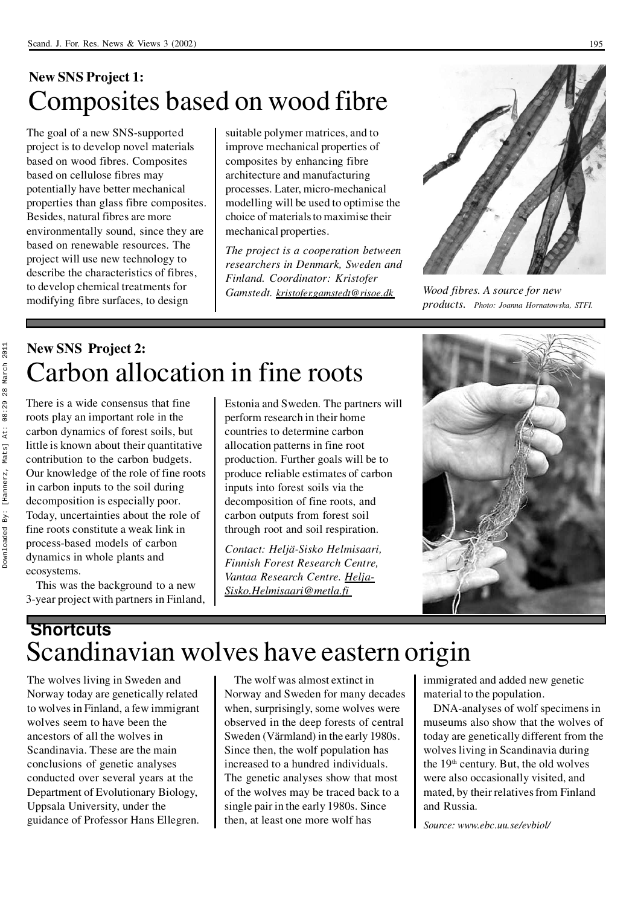### **New SNS Project 1:** Composites based on wood fibre

The goal of a new SNS-supported project is to develop novel materials based on wood fibres. Composites based on cellulose fibres may potentially have better mechanical properties than glass fibre composites. Besides, natural fibres are more environmentally sound, since they are based on renewable resources. The project will use new technology to describe the characteristics of fibres, to develop chemical treatments for modifying fibre surfaces, to design

suitable polymer matrices, and to improve mechanical properties of composites by enhancing fibre architecture and manufacturing processes. Later, micro-mechanical modelling will be used to optimise the choice of materials to maximise their mechanical properties.

*The project is a cooperation between researchers in Denmark, Sweden and Finland. Coordinator: Kristofer Gamstedt. kristofer.gamstedt@risoe.dk*



*Wood fibres. A source for new products. Photo: Joanna Hornatowska, STFI.*

### **New SNS Project 2:** Carbon allocation in fine roots

There is a wide consensus that fine roots play an important role in the carbon dynamics of forest soils, but little is known about their quantitative contribution to the carbon budgets. Our knowledge of the role of fine roots in carbon inputs to the soil during decomposition is especially poor. Today, uncertainties about the role of fine roots constitute a weak link in process-based models of carbon dynamics in whole plants and ecosystems.

This was the background to a new 3-year project with partners in Finland, Estonia and Sweden. The partners will perform research in their home countries to determine carbon allocation patterns in fine root production. Further goals will be to produce reliable estimates of carbon inputs into forest soils via the decomposition of fine roots, and carbon outputs from forest soil through root and soil respiration.

*Contact: Heljä-Sisko Helmisaari, Finnish Forest Research Centre, Vantaa Research Centre. Helja-Sisko.Helmisaari@metla.fi*



### **Shortcuts** Scandinavian wolves have eastern origin

The wolves living in Sweden and Norway today are genetically related to wolves in Finland, a few immigrant wolves seem to have been the ancestors of all the wolves in Scandinavia. These are the main conclusions of genetic analyses conducted over several years at the Department of Evolutionary Biology, Uppsala University, under the guidance of Professor Hans Ellegren.

The wolf was almost extinct in Norway and Sweden for many decades when, surprisingly, some wolves were observed in the deep forests of central Sweden (Värmland) in the early 1980s. Since then, the wolf population has increased to a hundred individuals. The genetic analyses show that most of the wolves may be traced back to a single pair in the early 1980s. Since then, at least one more wolf has

immigrated and added new genetic material to the population.

DNA-analyses of wolf specimens in museums also show that the wolves of today are genetically different from the wolves living in Scandinavia during the  $19<sup>th</sup>$  century. But, the old wolves were also occasionally visited, and mated, by their relatives from Finland and Russia.

*Source: www.ebc.uu.se/evbiol/*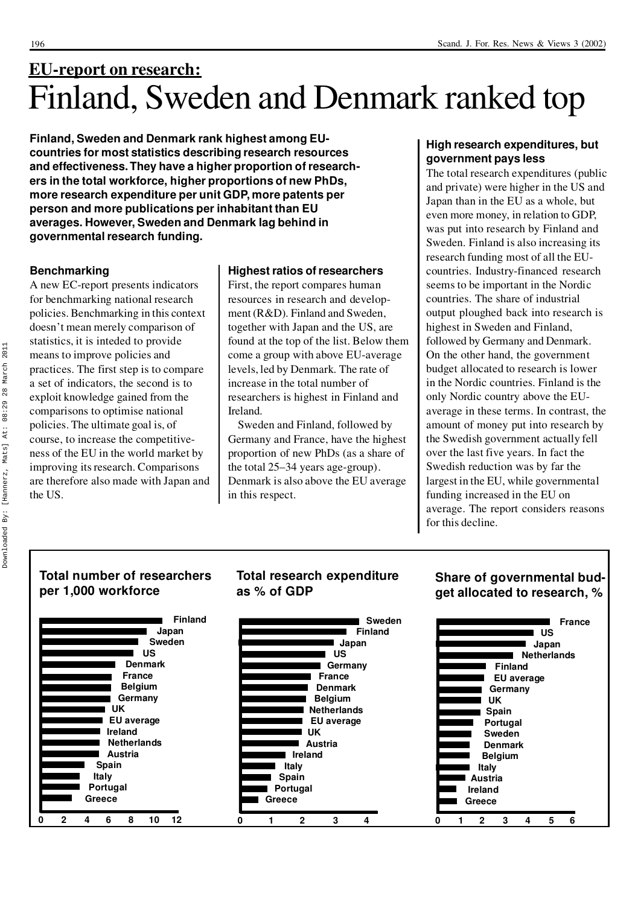## **EU-report on research:** Finland, Sweden and Denmark ranked top

**Finland, Sweden and Denmark rank highest among EU countries for most statistics describing research resources and effectiveness. They have a higher proportion of research ers in the total workforce, higher proportions of new PhDs, more research expenditure per unit GDP, more patents per person and more publications per inhabitant than EU averages. However, Sweden and Denmark lag behind in governmental research funding.**

#### **Benchmarking**

A new EC-report presents indicators for benchmarking national research policies. Benchmarking in this context doesn't mean merely comparison of statistics, it is inteded to provide means to improve policies and practices. The first step is to compare a set of indicators, the second is to exploit knowledge gained from the comparisons to optimise national policies. The ultimate goal is, of course, to increase the competitive ness of the EU in the world market by improving its research. Comparisons are therefore also made with Japan and the US.

#### **Highest ratios of researchers**

First, the report compares human resources in research and develop ment (R&D). Finland and Sweden, together with Japan and the US, are found at the top of the list. Below them come a group with above EU-average levels, led by Denmark. The rate of increase in the total number of researchers is highest in Finland and Ireland.

Sweden and Finland, followed by Germany and France, have the highest proportion of new PhDs (as a share of the total 25–34 years age-group). Denmark is also above the EU average in this respect.

**Total research expenditure**

#### **High research expenditures, but government pays less**

The total research expenditures (public and private) were higher in the US and Japan than in the EU as a whole, but even more money, in relation to GDP, was put into research by Finland and Sweden. Finland is also increasing its research funding most of all the EU countries. Industry-financed research seems to be important in the Nordic countries. The share of industrial output ploughed back into research is highest in Sweden and Finland, followed by Germany and Denmark. On the other hand, the government budget allocated to research is lower in the Nordic countries. Finland is the only Nordic country above the EU average in these terms. In contrast, the amount of money put into research by the Swedish government actually fell over the last five years. In fact the Swedish reduction was by far the largest in the EU, while governmental funding increased in the EU on average. The report considers reasons for this decline.

**Share of governmental bud-**

## Downloaded By: [Hannerz, Mats] At: 08:29 28 March 201128 March  $08:29$ Mats] At: [Hannerz, Downloaded By:

2011

#### **Total number of researchers per 1,000 workforce**

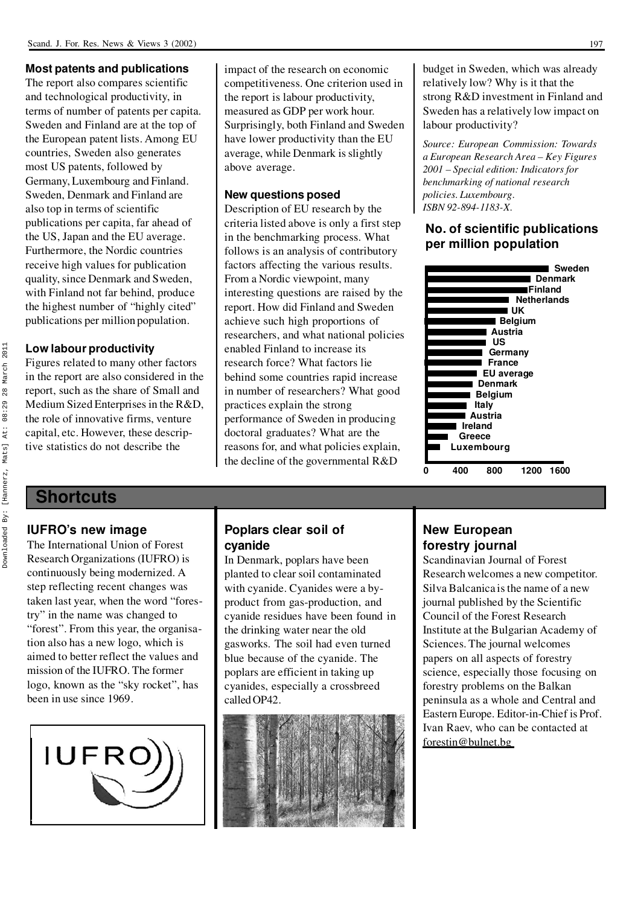#### **Most patents and publications**

The report also compares scientific and technological productivity, in terms of number of patents per capita. Sweden and Finland are at the top of the European patent lists. Among EU countries, Sweden also generates most US patents, followed by Germany, Luxembourg and Finland. Sweden, Denmark and Finland are also top in terms of scientific publications per capita, far ahead of the US, Japan and the EU average. Furthermore, the Nordic countries receive high values for publication quality, since Denmark and Sweden, with Finland not far behind, produce the highest number of "highly cited" publications per million population.

#### **Low labour productivity**

Figures related to many other factors in the report are also considered in the report, such as the share of Small and Medium Sized Enterprises in the R&D, the role of innovative firms, venture capital, etc. However, these descriptive statistics do not describe the

impact of the research on economic competitiveness. One criterion used in the report is labour productivity, measured as GDP per work hour. Surprisingly, both Finland and Sweden have lower productivity than the EU average, while Denmark is slightly above average.

#### **New questions posed**

Description of EU research by the criteria listed above is only a first step in the benchmarking process. What follows is an analysis of contributory factors affecting the various results. From a Nordic viewpoint, many interesting questions are raised by the report. How did Finland and Sweden achieve such high proportions of researchers, and what national policies enabled Finland to increase its research force? What factors lie behind some countries rapid increase in number of researchers? What good practices explain the strong performance of Sweden in producing doctoral graduates? What are the reasons for, and what policies explain, the decline of the governmental R&D

budget in Sweden, which was already relatively low? Why is it that the strong R&D investment in Finland and Sweden has a relatively low impact on labour productivity?

*Source: European Commission: Towards a European Research Area – Key Figures 2001 – Special edition: Indicators for benchmarking of national research policies. Luxembourg. ISBN 92-894-1183-X.*

#### **No. of scientific publications per million population**



#### **Shortcuts**

#### **IUFRO's new image**

The International Union of Forest Research Organizations (IUFRO) is continuously being modernized. A step reflecting recent changes was taken last year, when the word "forestry" in the name was changed to "forest". From this year, the organisation also has a new logo, which is aimed to better reflect the values and mission of the IUFRO. The former logo, known as the "sky rocket", has been in use since 1969.



#### **Poplars clear soil of cyanide**

In Denmark, poplars have been planted to clear soil contaminated with cyanide. Cyanides were a by product from gas-production, and cyanide residues have been found in the drinking water near the old gasworks. The soil had even turned blue because of the cyanide. The poplars are efficient in taking up cyanides, especially a crossbreed called OP42.



#### **New European forestry journal**

Scandinavian Journal of Forest Research welcomes a new competitor. Silva Balcanica is the name of a new journal published by the Scientific Council of the Forest Research Institute at the Bulgarian Academy of Sciences. The journal welcomes papers on all aspects of forestry science, especially those focusing on forestry problems on the Balkan peninsula as a whole and Central and Eastern Europe. Editor-in-Chief is Prof. Ivan Raev, who can be contacted at forestin@bulnet.bg